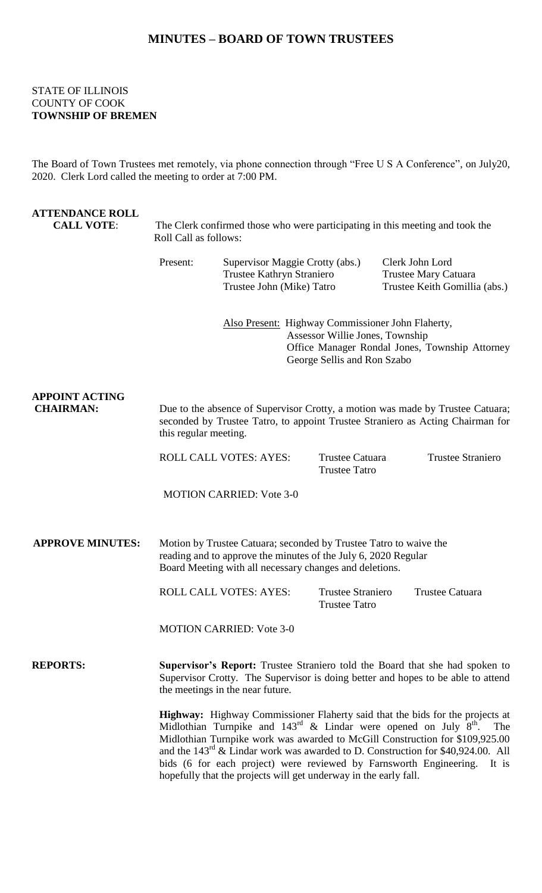## **MINUTES – BOARD OF TOWN TRUSTEES**

## STATE OF ILLINOIS COUNTY OF COOK **TOWNSHIP OF BREMEN**

The Board of Town Trustees met remotely, via phone connection through "Free U S A Conference", on July20, 2020. Clerk Lord called the meeting to order at 7:00 PM.

| <b>ATTENDANCE ROLL</b><br><b>CALL VOTE:</b> | The Clerk confirmed those who were participating in this meeting and took the<br>Roll Call as follows:                                                                                                                                                                                                                                                                                                                               |                                                                                                                                                                       |                                                  |                                                                          |                          |  |
|---------------------------------------------|--------------------------------------------------------------------------------------------------------------------------------------------------------------------------------------------------------------------------------------------------------------------------------------------------------------------------------------------------------------------------------------------------------------------------------------|-----------------------------------------------------------------------------------------------------------------------------------------------------------------------|--------------------------------------------------|--------------------------------------------------------------------------|--------------------------|--|
|                                             | Present:<br>Supervisor Maggie Crotty (abs.)<br>Trustee Kathryn Straniero<br>Trustee John (Mike) Tatro                                                                                                                                                                                                                                                                                                                                |                                                                                                                                                                       |                                                  | Clerk John Lord<br>Trustee Mary Catuara<br>Trustee Keith Gomillia (abs.) |                          |  |
|                                             |                                                                                                                                                                                                                                                                                                                                                                                                                                      | Also Present: Highway Commissioner John Flaherty,<br>Assessor Willie Jones, Township<br>Office Manager Rondal Jones, Township Attorney<br>George Sellis and Ron Szabo |                                                  |                                                                          |                          |  |
| <b>APPOINT ACTING</b><br><b>CHAIRMAN:</b>   | Due to the absence of Supervisor Crotty, a motion was made by Trustee Catuara;<br>seconded by Trustee Tatro, to appoint Trustee Straniero as Acting Chairman for<br>this regular meeting.                                                                                                                                                                                                                                            |                                                                                                                                                                       |                                                  |                                                                          |                          |  |
|                                             |                                                                                                                                                                                                                                                                                                                                                                                                                                      | <b>ROLL CALL VOTES: AYES:</b>                                                                                                                                         | Trustee Catuara<br><b>Trustee Tatro</b>          |                                                                          | <b>Trustee Straniero</b> |  |
|                                             |                                                                                                                                                                                                                                                                                                                                                                                                                                      | <b>MOTION CARRIED: Vote 3-0</b>                                                                                                                                       |                                                  |                                                                          |                          |  |
| <b>APPROVE MINUTES:</b>                     | Motion by Trustee Catuara; seconded by Trustee Tatro to waive the<br>reading and to approve the minutes of the July 6, 2020 Regular<br>Board Meeting with all necessary changes and deletions.                                                                                                                                                                                                                                       |                                                                                                                                                                       |                                                  |                                                                          |                          |  |
|                                             |                                                                                                                                                                                                                                                                                                                                                                                                                                      | <b>ROLL CALL VOTES: AYES:</b>                                                                                                                                         | <b>Trustee Straniero</b><br><b>Trustee Tatro</b> |                                                                          | <b>Trustee Catuara</b>   |  |
|                                             |                                                                                                                                                                                                                                                                                                                                                                                                                                      | <b>MOTION CARRIED: Vote 3-0</b>                                                                                                                                       |                                                  |                                                                          |                          |  |
| <b>REPORTS:</b>                             | Supervisor's Report: Trustee Straniero told the Board that she had spoken to<br>Supervisor Crotty. The Supervisor is doing better and hopes to be able to attend<br>the meetings in the near future.                                                                                                                                                                                                                                 |                                                                                                                                                                       |                                                  |                                                                          |                          |  |
|                                             | Highway: Highway Commissioner Flaherty said that the bids for the projects at<br>Midlothian Turnpike and $143^{\text{rd}}$ & Lindar were opened on July $8^{\text{th}}$ .<br>The<br>Midlothian Turnpike work was awarded to McGill Construction for \$109,925.00<br>and the $143^{rd}$ & Lindar work was awarded to D. Construction for \$40,924.00. All<br>bids (6 for each project) were reviewed by Farnsworth Engineering. It is |                                                                                                                                                                       |                                                  |                                                                          |                          |  |

hopefully that the projects will get underway in the early fall.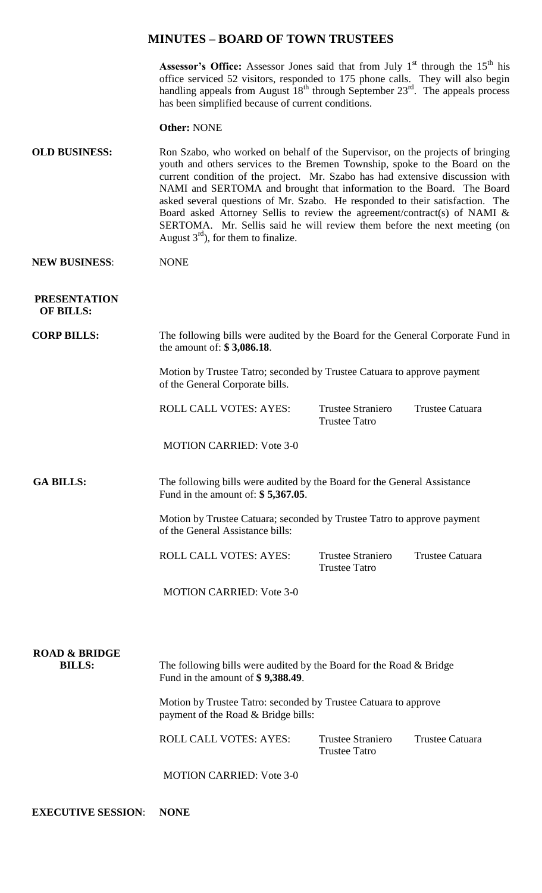### **MINUTES – BOARD OF TOWN TRUSTEES**

**Assessor's Office:** Assessor Jones said that from July  $1<sup>st</sup>$  through the  $15<sup>th</sup>$  his office serviced 52 visitors, responded to 175 phone calls. They will also begin handling appeals from August  $18<sup>th</sup>$  through September  $23<sup>rd</sup>$ . The appeals process has been simplified because of current conditions.

**Other:** NONE

| <b>OLD BUSINESS:</b> | Ron Szabo, who worked on behalf of the Supervisor, on the projects of bringing |
|----------------------|--------------------------------------------------------------------------------|
|                      | youth and others services to the Bremen Township, spoke to the Board on the    |
|                      | current condition of the project. Mr. Szabo has had extensive discussion with  |
|                      | NAMI and SERTOMA and brought that information to the Board. The Board          |
|                      | asked several questions of Mr. Szabo. He responded to their satisfaction. The  |
|                      | Board asked Attorney Sellis to review the agreement/contract(s) of NAMI $\&$   |
|                      | SERTOMA. Mr. Sellis said he will review them before the next meeting (on       |
|                      | August $3rd$ , for them to finalize.                                           |

#### **NEW BUSINESS**: NONE

**PRESENTATION OF BILLS:**

**CORP BILLS:** The following bills were audited by the Board for the General Corporate Fund in the amount of: **\$ 3,086.18**.

> Motion by Trustee Tatro; seconded by Trustee Catuara to approve payment of the General Corporate bills.

ROLL CALL VOTES: AYES: Trustee Straniero Trustee Catuara Trustee Tatro

MOTION CARRIED: Vote 3-0

GA BILLS: The following bills were audited by the Board for the General Assistance Fund in the amount of: **\$ 5,367.05**.

> Motion by Trustee Catuara; seconded by Trustee Tatro to approve payment of the General Assistance bills:

> ROLL CALL VOTES: AYES: Trustee Straniero Trustee Catuara Trustee Tatro

MOTION CARRIED: Vote 3-0

| <b>ROAD &amp; BRIDGE</b><br><b>BILLS:</b> | The following bills were audited by the Board for the Road $\&$ Bridge<br>Fund in the amount of \$9,388.49. |                                    |                 |  |  |  |
|-------------------------------------------|-------------------------------------------------------------------------------------------------------------|------------------------------------|-----------------|--|--|--|
|                                           | Motion by Trustee Tatro: seconded by Trustee Catuara to approve<br>payment of the Road & Bridge bills:      |                                    |                 |  |  |  |
|                                           | ROLL CALL VOTES: AYES:                                                                                      | Trustee Straniero<br>Trustee Tatro | Trustee Catuara |  |  |  |

MOTION CARRIED: Vote 3-0

**EXECUTIVE SESSION**: **NONE**